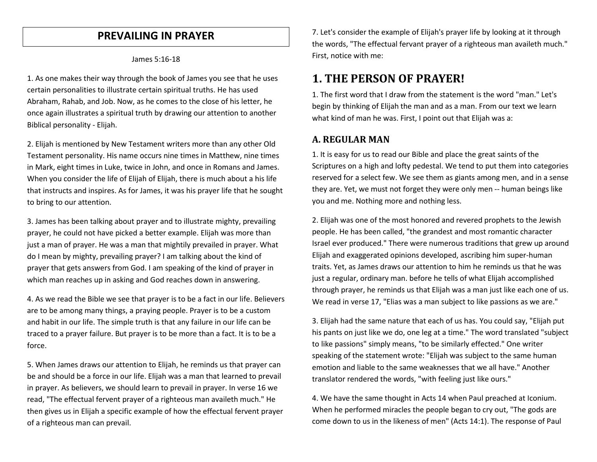### **PREVAILING IN PRAYER**

#### James 5:16-18

1. As one makes their way through the book of James you see that he uses certain personalities to illustrate certain spiritual truths. He has used Abraham, Rahab, and Job. Now, as he comes to the close of his letter, he once again illustrates a spiritual truth by drawing our attention to another Biblical personality - Elijah.

2. Elijah is mentioned by New Testament writers more than any other Old Testament personality. His name occurs nine times in Matthew, nine times in Mark, eight times in Luke, twice in John, and once in Romans and James. When you consider the life of Elijah of Elijah, there is much about a his life that instructs and inspires. As for James, it was his prayer life that he sought to bring to our attention.

3. James has been talking about prayer and to illustrate mighty, prevailing prayer, he could not have picked a better example. Elijah was more than just a man of prayer. He was a man that mightily prevailed in prayer. What do I mean by mighty, prevailing prayer? I am talking about the kind of prayer that gets answers from God. I am speaking of the kind of prayer in which man reaches up in asking and God reaches down in answering.

4. As we read the Bible we see that prayer is to be a fact in our life. Believers are to be among many things, a praying people. Prayer is to be a custom and habit in our life. The simple truth is that any failure in our life can be traced to a prayer failure. But prayer is to be more than a fact. It is to be a force.

5. When James draws our attention to Elijah, he reminds us that prayer can be and should be a force in our life. Elijah was a man that learned to prevail in prayer. As believers, we should learn to prevail in prayer. In verse 16 we read, "The effectual fervent prayer of a righteous man availeth much." He then gives us in Elijah a specific example of how the effectual fervent prayer of a righteous man can prevail.

7. Let's consider the example of Elijah's prayer life by looking at it through the words, "The effectual fervant prayer of a righteous man availeth much." First, notice with me:

# **1. THE PERSON OF PRAYER!**

1. The first word that I draw from the statement is the word "man." Let's begin by thinking of Elijah the man and as a man. From our text we learn what kind of man he was. First, I point out that Elijah was a:

### **A. REGULAR MAN**

1. It is easy for us to read our Bible and place the great saints of the Scriptures on a high and lofty pedestal. We tend to put them into categories reserved for a select few. We see them as giants among men, and in a sense they are. Yet, we must not forget they were only men -- human beings like you and me. Nothing more and nothing less.

2. Elijah was one of the most honored and revered prophets to the Jewish people. He has been called, "the grandest and most romantic character Israel ever produced." There were numerous traditions that grew up around Elijah and exaggerated opinions developed, ascribing him super-human traits. Yet, as James draws our attention to him he reminds us that he was just a regular, ordinary man. before he tells of what Elijah accomplished through prayer, he reminds us that Elijah was a man just like each one of us. We read in verse 17, "Elias was a man subject to like passions as we are."

3. Elijah had the same nature that each of us has. You could say, "Elijah put his pants on just like we do, one leg at a time." The word translated "subject to like passions" simply means, "to be similarly effected." One writer speaking of the statement wrote: "Elijah was subject to the same human emotion and liable to the same weaknesses that we all have." Another translator rendered the words, "with feeling just like ours."

4. We have the same thought in Acts 14 when Paul preached at Iconium. When he performed miracles the people began to cry out, "The gods are come down to us in the likeness of men" (Acts 14:1). The response of Paul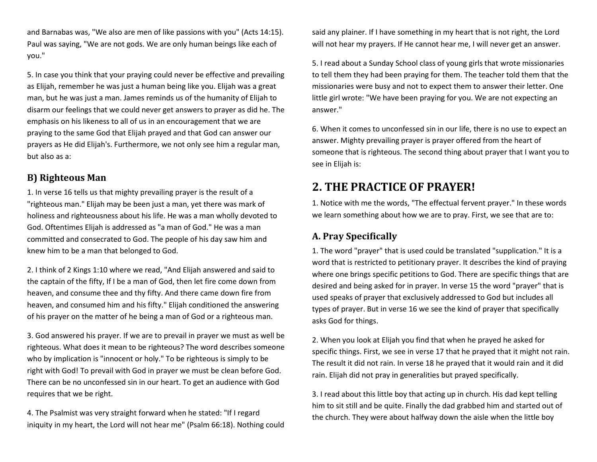and Barnabas was, "We also are men of like passions with you" (Acts 14:15). Paul was saying, "We are not gods. We are only human beings like each of you."

5. In case you think that your praying could never be effective and prevailing as Elijah, remember he was just a human being like you. Elijah was a great man, but he was just a man. James reminds us of the humanity of Elijah to disarm our feelings that we could never get answers to prayer as did he. The emphasis on his likeness to all of us in an encouragement that we are praying to the same God that Elijah prayed and that God can answer our prayers as He did Elijah's. Furthermore, we not only see him a regular man, but also as a:

### **B) Righteous Man**

1. In verse 16 tells us that mighty prevailing prayer is the result of a "righteous man." Elijah may be been just a man, yet there was mark of holiness and righteousness about his life. He was a man wholly devoted to God. Oftentimes Elijah is addressed as "a man of God." He was a man committed and consecrated to God. The people of his day saw him and knew him to be a man that belonged to God.

2. I think of 2 Kings 1:10 where we read, "And Elijah answered and said to the captain of the fifty, If I be a man of God, then let fire come down from heaven, and consume thee and thy fifty. And there came down fire from heaven, and consumed him and his fifty." Elijah conditioned the answering of his prayer on the matter of he being a man of God or a righteous man.

3. God answered his prayer. If we are to prevail in prayer we must as well be righteous. What does it mean to be righteous? The word describes someone who by implication is "innocent or holy." To be righteous is simply to be right with God! To prevail with God in prayer we must be clean before God. There can be no unconfessed sin in our heart. To get an audience with God requires that we be right.

4. The Psalmist was very straight forward when he stated: "If I regard iniquity in my heart, the Lord will not hear me" (Psalm 66:18). Nothing could

said any plainer. If I have something in my heart that is not right, the Lord will not hear my prayers. If He cannot hear me, I will never get an answer.

5. I read about a Sunday School class of young girls that wrote missionaries to tell them they had been praying for them. The teacher told them that the missionaries were busy and not to expect them to answer their letter. One little girl wrote: "We have been praying for you. We are not expecting an answer."

6. When it comes to unconfessed sin in our life, there is no use to expect an answer. Mighty prevailing prayer is prayer offered from the heart of someone that is righteous. The second thing about prayer that I want you to see in Elijah is:

# **2. THE PRACTICE OF PRAYER!**

1. Notice with me the words, "The effectual fervent prayer." In these words we learn something about how we are to pray. First, we see that are to:

## **A. Pray Specifically**

1. The word "prayer" that is used could be translated "supplication." It is a word that is restricted to petitionary prayer. It describes the kind of praying where one brings specific petitions to God. There are specific things that are desired and being asked for in prayer. In verse 15 the word "prayer" that is used speaks of prayer that exclusively addressed to God but includes all types of prayer. But in verse 16 we see the kind of prayer that specifically asks God for things.

2. When you look at Elijah you find that when he prayed he asked for specific things. First, we see in verse 17 that he prayed that it might not rain. The result it did not rain. In verse 18 he prayed that it would rain and it did rain. Elijah did not pray in generalities but prayed specifically.

3. I read about this little boy that acting up in church. His dad kept telling him to sit still and be quite. Finally the dad grabbed him and started out of the church. They were about halfway down the aisle when the little boy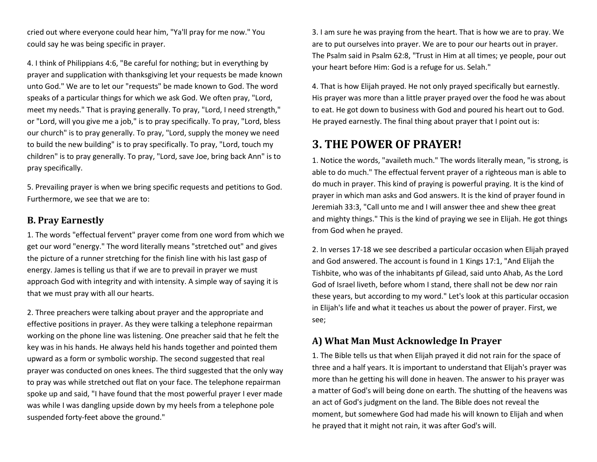cried out where everyone could hear him, "Ya'll pray for me now." You could say he was being specific in prayer.

4. I think of Philippians 4:6, "Be careful for nothing; but in everything by prayer and supplication with thanksgiving let your requests be made known unto God." We are to let our "requests" be made known to God. The word speaks of a particular things for which we ask God. We often pray, "Lord, meet my needs." That is praying generally. To pray, "Lord, I need strength," or "Lord, will you give me a job," is to pray specifically. To pray, "Lord, bless our church" is to pray generally. To pray, "Lord, supply the money we need to build the new building" is to pray specifically. To pray, "Lord, touch my children" is to pray generally. To pray, "Lord, save Joe, bring back Ann" is to pray specifically.

5. Prevailing prayer is when we bring specific requests and petitions to God. Furthermore, we see that we are to:

#### **B. Pray Earnestly**

1. The words "effectual fervent" prayer come from one word from which we get our word "energy." The word literally means "stretched out" and gives the picture of a runner stretching for the finish line with his last gasp of energy. James is telling us that if we are to prevail in prayer we must approach God with integrity and with intensity. A simple way of saying it is that we must pray with all our hearts.

2. Three preachers were talking about prayer and the appropriate and effective positions in prayer. As they were talking a telephone repairman working on the phone line was listening. One preacher said that he felt the key was in his hands. He always held his hands together and pointed them upward as a form or symbolic worship. The second suggested that real prayer was conducted on ones knees. The third suggested that the only way to pray was while stretched out flat on your face. The telephone repairman spoke up and said, "I have found that the most powerful prayer I ever made was while I was dangling upside down by my heels from a telephone pole suspended forty-feet above the ground."

3. I am sure he was praying from the heart. That is how we are to pray. We are to put ourselves into prayer. We are to pour our hearts out in prayer. The Psalm said in Psalm 62:8, "Trust in Him at all times; ye people, pour out your heart before Him: God is a refuge for us. Selah."

4. That is how Elijah prayed. He not only prayed specifically but earnestly. His prayer was more than a little prayer prayed over the food he was about to eat. He got down to business with God and poured his heart out to God. He prayed earnestly. The final thing about prayer that I point out is:

# **3. THE POWER OF PRAYER!**

1. Notice the words, "availeth much." The words literally mean, "is strong, is able to do much." The effectual fervent prayer of a righteous man is able to do much in prayer. This kind of praying is powerful praying. It is the kind of prayer in which man asks and God answers. It is the kind of prayer found in Jeremiah 33:3, "Call unto me and I will answer thee and shew thee great and mighty things." This is the kind of praying we see in Elijah. He got things from God when he prayed.

2. In verses 17-18 we see described a particular occasion when Elijah prayed and God answered. The account is found in 1 Kings 17:1, "And Elijah the Tishbite, who was of the inhabitants pf Gilead, said unto Ahab, As the Lord God of Israel liveth, before whom I stand, there shall not be dew nor rain these years, but according to my word." Let's look at this particular occasion in Elijah's life and what it teaches us about the power of prayer. First, we see;

### **A) What Man Must Acknowledge In Prayer**

1. The Bible tells us that when Elijah prayed it did not rain for the space of three and a half years. It is important to understand that Elijah's prayer was more than he getting his will done in heaven. The answer to his prayer was a matter of God's will being done on earth. The shutting of the heavens was an act of God's judgment on the land. The Bible does not reveal the moment, but somewhere God had made his will known to Elijah and when he prayed that it might not rain, it was after God's will.